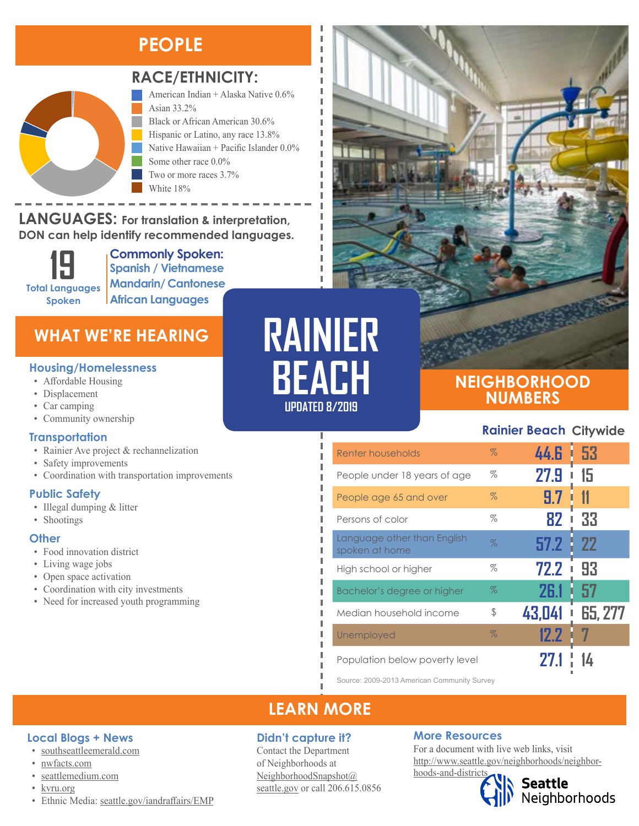### **PEOPLE**



### **RACE/ETHNICITY:**

Two or more races 3.7%

American Indian + Alaska Native 0.6% Asian 33.2% Black or African American 30.6% Hispanic or Latino, any race 13.8% Native Hawaiian + Pacific Islander 0.0% Some other race 0.0%

**LANGUAGES:** For translation & interpretation, White 18% American Indian and Alaska Native Asian Black or African American

**DON can help identify recommended languages.**



**Commonly Spoken: Spanish / Vietnamese Mandarin/ Cantonese African Languages**

### **WHAT WE'RE HEARING**

#### **Housing/Homelessness**

- Affordable Housing
- Displacement
- Car camping
- Community ownership

### **Transportation**

- Rainier Ave project & rechannelization
- Safety improvements
- Coordination with transportation improvements

### **Public Safety**

- Illegal dumping & litter
- Shootings

#### **Other**

- Food innovation district
- Living wage jobs
- Open space activation

**Local Blogs + News** • [southseattleemerald.com](https://southseattleemerald.com/)

• [seattlemedium.com](http://seattlemedium.com/)

• [nwfacts.com](http://www.nwfacts.com/)

- Coordination with city investments
- Need for increased youth programming

# **RAINIER BEACH**

л

п Ï I

п I I,

### **UPDATED 8/2019**

### **NEIGHBORHOOD NUMBERS**

### **Rainier Beach Citywide**

| Renter households                             | $\%$ | 44.G        | - 53      |
|-----------------------------------------------|------|-------------|-----------|
| People under 18 years of age                  | %    | 27.9        | 15        |
| People age 65 and over                        | $\%$ | 9.7         |           |
| Persons of color                              | %    | 82          | 33        |
| Language other than English<br>spoken at home | $\%$ | 57.2        | -22<br>ţ. |
| High school or higher                         | %    | 72.2<br>I   | 93        |
| Bachelor's degree or higher                   | $\%$ | <b>26.1</b> | 57        |
| Median household income                       | \$   | 43,041      | 65, 277   |
| Unemployed                                    | $\%$ | 12.2        |           |
| Population below poverty level                |      |             |           |

Source: 2009-2013 American Community Survey

### **LEARN MORE**

### **Didn't capture it?**

Contact the Department of Neighborhoods at [NeighborhoodSnapshot@](mailto:NeighborhoodSnapshot%40%0Aseattle.gov?subject=) [seattle.gov](mailto:NeighborhoodSnapshot%40%0Aseattle.gov?subject=) or call 206.615.0856

### **More Resources**

For a document with live web links, visit [http://www.seattle.gov/neighborhoods/neighbor](http://www.seattle.gov/neighborhoods/neighborhoods-and-districts)[hoods-and-districts](http://www.seattle.gov/neighborhoods/neighborhoods-and-districts)

## **Seattle**<br>Neighborhoods

- [kvru.org](http://kvru.org/)
- Ethnic Media: [seattle.gov/iandraffairs/EMP](http://www.seattle.gov/iandraffairs/EMP)